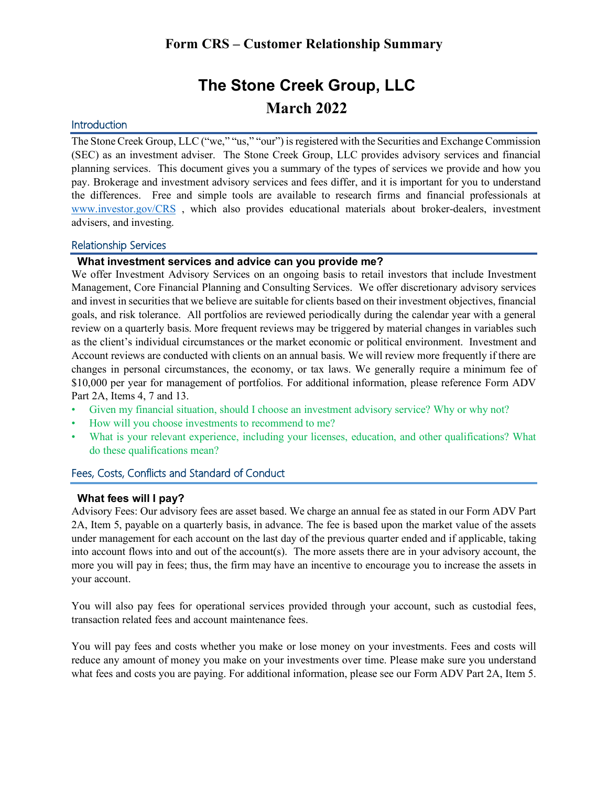# **The Stone Creek Group, LLC March 2022**

# **Introduction**

The Stone Creek Group, LLC ("we," "us," "our") is registered with the Securities and Exchange Commission (SEC) as an investment adviser. The Stone Creek Group, LLC provides advisory services and financial planning services. This document gives you a summary of the types of services we provide and how you pay. Brokerage and investment advisory services and fees differ, and it is important for you to understand the differences. Free and simple tools are available to research firms and financial professionals at [www.investor.gov/CRS](http://www.investor.gov/CRS) , which also provides educational materials about broker-dealers, investment advisers, and investing.

#### Relationship Services

#### **What investment services and advice can you provide me?**

We offer Investment Advisory Services on an ongoing basis to retail investors that include Investment Management, Core Financial Planning and Consulting Services. We offer discretionary advisory services and invest in securities that we believe are suitable for clients based on their investment objectives, financial goals, and risk tolerance. All portfolios are reviewed periodically during the calendar year with a general review on a quarterly basis. More frequent reviews may be triggered by material changes in variables such as the client's individual circumstances or the market economic or political environment. Investment and Account reviews are conducted with clients on an annual basis. We will review more frequently if there are changes in personal circumstances, the economy, or tax laws. We generally require a minimum fee of \$10,000 per year for management of portfolios. For additional information, please reference Form ADV Part 2A, Items 4, 7 and 13.

- Given my financial situation, should I choose an investment advisory service? Why or why not?
- How will you choose investments to recommend to me?
- What is your relevant experience, including your licenses, education, and other qualifications? What do these qualifications mean?

# Fees, Costs, Conflicts and Standard of Conduct

#### **What fees will I pay?**

Advisory Fees: Our advisory fees are asset based. We charge an annual fee as stated in our Form ADV Part 2A, Item 5, payable on a quarterly basis, in advance. The fee is based upon the market value of the assets under management for each account on the last day of the previous quarter ended and if applicable, taking into account flows into and out of the account(s). The more assets there are in your advisory account, the more you will pay in fees; thus, the firm may have an incentive to encourage you to increase the assets in your account.

You will also pay fees for operational services provided through your account, such as custodial fees, transaction related fees and account maintenance fees.

You will pay fees and costs whether you make or lose money on your investments. Fees and costs will reduce any amount of money you make on your investments over time. Please make sure you understand what fees and costs you are paying. For additional information, please see our Form ADV Part 2A, Item 5.